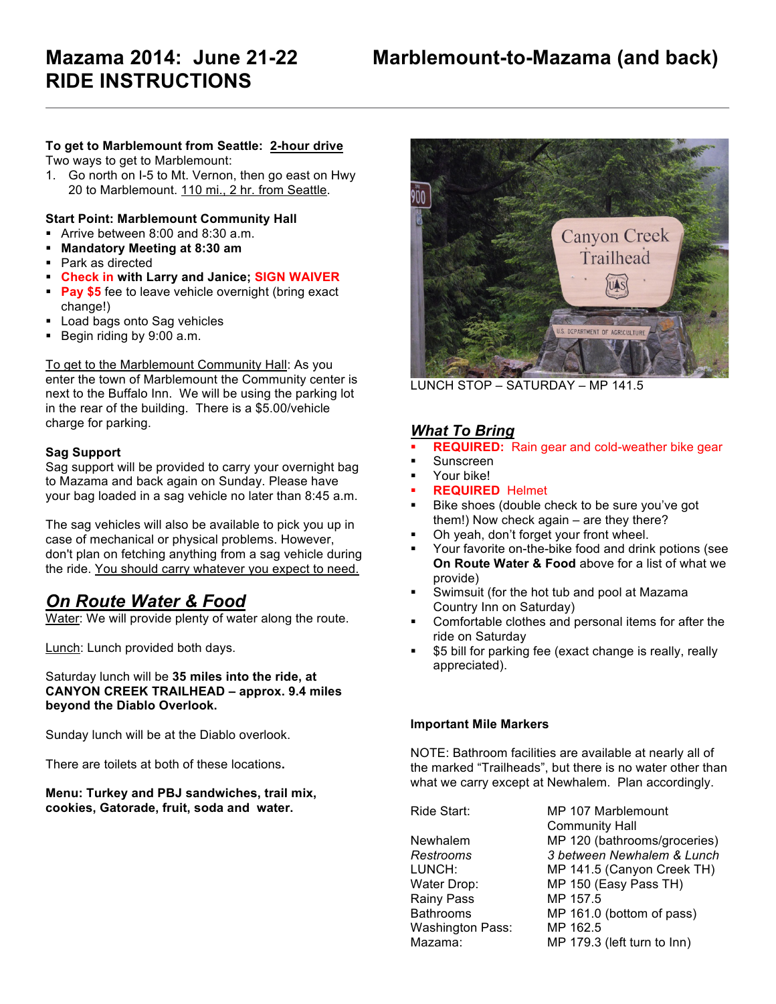# **RIDE INSTRUCTIONS**

### **To get to Marblemount from Seattle: 2-hour drive**

Two ways to get to Marblemount:

1. Go north on I-5 to Mt. Vernon, then go east on Hwy 20 to Marblemount. 110 mi., 2 hr. from Seattle.

#### **Start Point: Marblemount Community Hall**

- ! Arrive between 8:00 and 8:30 a.m.
- ! **Mandatory Meeting at 8:30 am**
- ! Park as directed
- ! **Check in with Larry and Janice; SIGN WAIVER**
- **Pay \$5** fee to leave vehicle overnight (bring exact change!)
- **Load bags onto Sag vehicles**
- ! Begin riding by 9:00 a.m.

To get to the Marblemount Community Hall: As you enter the town of Marblemount the Community center is next to the Buffalo Inn. We will be using the parking lot in the rear of the building. There is a \$5.00/vehicle charge for parking.

#### **Sag Support**

Sag support will be provided to carry your overnight bag to Mazama and back again on Sunday. Please have your bag loaded in a sag vehicle no later than 8:45 a.m.

The sag vehicles will also be available to pick you up in case of mechanical or physical problems. However, don't plan on fetching anything from a sag vehicle during the ride. You should carry whatever you expect to need.

## *On Route Water & Food*

Water: We will provide plenty of water along the route.

Lunch: Lunch provided both days.

Saturday lunch will be **35 miles into the ride, at CANYON CREEK TRAILHEAD – approx. 9.4 miles beyond the Diablo Overlook.** 

Sunday lunch will be at the Diablo overlook.

There are toilets at both of these locations**.**

**Menu: Turkey and PBJ sandwiches, trail mix, cookies, Gatorade, fruit, soda and water.** 



LUNCH STOP – SATURDAY – MP 141.5

## *What To Bring*

- **REQUIRED:** Rain gear and cold-weather bike gear
- **Sunscreen**
- Your bike!
- ! **REQUIRED** Helmet
- Bike shoes (double check to be sure you've got them!) Now check again – are they there?
- ! Oh yeah, don't forget your front wheel.
- ! Your favorite on-the-bike food and drink potions (see **On Route Water & Food** above for a list of what we provide)
- Swimsuit (for the hot tub and pool at Mazama Country Inn on Saturday)
- Comfortable clothes and personal items for after the ride on Saturday
- \$5 bill for parking fee (exact change is really, really appreciated).

#### **Important Mile Markers**

NOTE: Bathroom facilities are available at nearly all of the marked "Trailheads", but there is no water other than what we carry except at Newhalem. Plan accordingly.

| Ride Start:      | MP 107 Marblemount           |
|------------------|------------------------------|
|                  | <b>Community Hall</b>        |
| Newhalem         | MP 120 (bathrooms/groceries) |
| Restrooms        | 3 between Newhalem & Lunch   |
| LUNCH:           | MP 141.5 (Canyon Creek TH)   |
| Water Drop:      | MP 150 (Easy Pass TH)        |
| Rainy Pass       | MP 157.5                     |
| <b>Bathrooms</b> | MP 161.0 (bottom of pass)    |
| Washington Pass: | MP 162.5                     |
| Mazama:          | MP 179.3 (left turn to Inn)  |
|                  |                              |